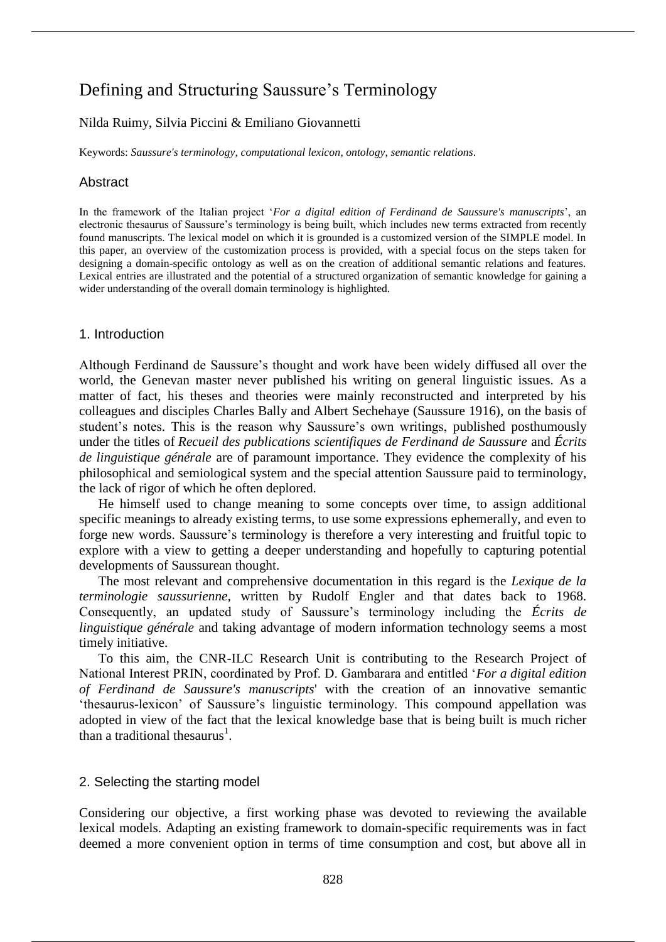# Defining and Structuring Saussure's Terminology

## Nilda Ruimy, Silvia Piccini & Emiliano Giovannetti

Keywords: *Saussure's terminology*, *computational lexicon*, *ontology*, *semantic relations*.

## **Abstract**

In the framework of the Italian project '*For a digital edition of Ferdinand de Saussure's manuscripts*', an electronic thesaurus of Saussure's terminology is being built, which includes new terms extracted from recently found manuscripts. The lexical model on which it is grounded is a customized version of the SIMPLE model. In this paper, an overview of the customization process is provided, with a special focus on the steps taken for designing a domain-specific ontology as well as on the creation of additional semantic relations and features. Lexical entries are illustrated and the potential of a structured organization of semantic knowledge for gaining a wider understanding of the overall domain terminology is highlighted.

### 1. Introduction

Although Ferdinand de Saussure's thought and work have been widely diffused all over the world, the Genevan master never published his writing on general linguistic issues. As a matter of fact, his theses and theories were mainly reconstructed and interpreted by his colleagues and disciples Charles Bally and Albert Sechehaye (Saussure 1916), on the basis of student's notes. This is the reason why Saussure's own writings, published posthumously under the titles of *Recueil des publications scientifiques de Ferdinand de Saussure* and *Écrits de linguistique générale* are of paramount importance. They evidence the complexity of his philosophical and semiological system and the special attention Saussure paid to terminology, the lack of rigor of which he often deplored.

He himself used to change meaning to some concepts over time, to assign additional specific meanings to already existing terms, to use some expressions ephemerally, and even to forge new words. Saussure's terminology is therefore a very interesting and fruitful topic to explore with a view to getting a deeper understanding and hopefully to capturing potential developments of Saussurean thought.

The most relevant and comprehensive documentation in this regard is the *Lexique de la terminologie saussurienne,* written by Rudolf Engler and that dates back to 1968. Consequently, an updated study of Saussure's terminology including the *Écrits de linguistique générale* and taking advantage of modern information technology seems a most timely initiative.

To this aim, the CNR-ILC Research Unit is contributing to the Research Project of National Interest PRIN, coordinated by Prof. D. Gambarara and entitled '*For a digital edition of Ferdinand de Saussure's manuscripts*' with the creation of an innovative semantic 'thesaurus-lexicon' of Saussure's linguistic terminology. This compound appellation was adopted in view of the fact that the lexical knowledge base that is being built is much richer than a traditional thesaurus<sup>1</sup>.

### 2. Selecting the starting model

Considering our objective, a first working phase was devoted to reviewing the available lexical models. Adapting an existing framework to domain-specific requirements was in fact deemed a more convenient option in terms of time consumption and cost, but above all in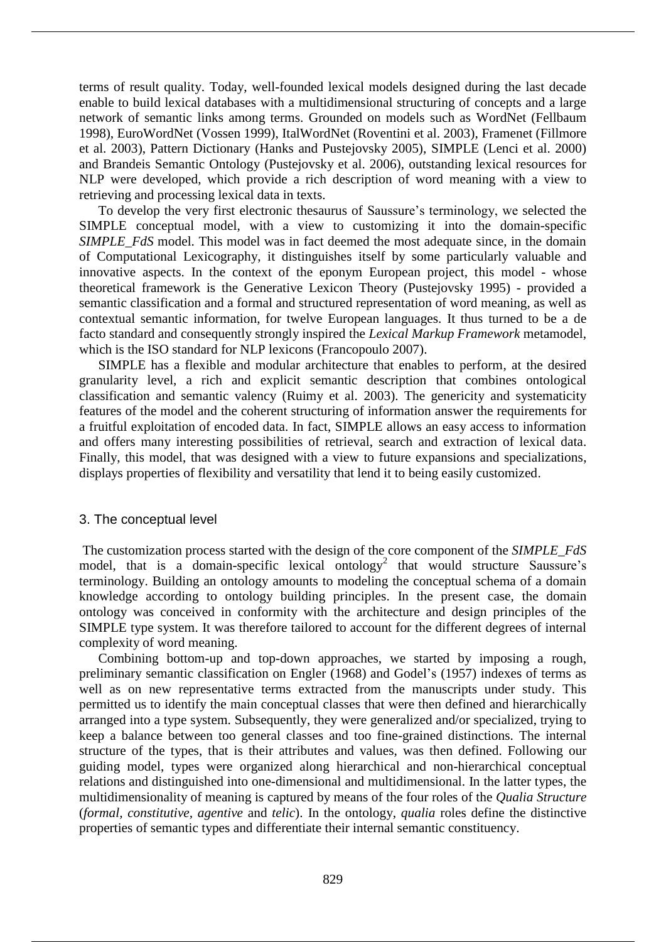terms of result quality. Today, well-founded lexical models designed during the last decade enable to build lexical databases with a multidimensional structuring of concepts and a large network of semantic links among terms. Grounded on models such as WordNet (Fellbaum 1998), EuroWordNet (Vossen 1999), ItalWordNet (Roventini et al. 2003), Framenet (Fillmore et al. 2003), Pattern Dictionary (Hanks and Pustejovsky 2005), SIMPLE (Lenci et al. 2000) and Brandeis Semantic Ontology (Pustejovsky et al. 2006), outstanding lexical resources for NLP were developed, which provide a rich description of word meaning with a view to retrieving and processing lexical data in texts.

To develop the very first electronic thesaurus of Saussure's terminology, we selected the SIMPLE conceptual model, with a view to customizing it into the domain-specific *SIMPLE FdS* model. This model was in fact deemed the most adequate since, in the domain of Computational Lexicography, it distinguishes itself by some particularly valuable and innovative aspects. In the context of the eponym European project, this model - whose theoretical framework is the Generative Lexicon Theory (Pustejovsky 1995) - provided a semantic classification and a formal and structured representation of word meaning, as well as contextual semantic information, for twelve European languages. It thus turned to be a de facto standard and consequently strongly inspired the *Lexical Markup Framework* metamodel, which is the ISO standard for NLP lexicons (Francopoulo 2007).

SIMPLE has a flexible and modular architecture that enables to perform, at the desired granularity level, a rich and explicit semantic description that combines ontological classification and semantic valency (Ruimy et al. 2003). The genericity and systematicity features of the model and the coherent structuring of information answer the requirements for a fruitful exploitation of encoded data. In fact, SIMPLE allows an easy access to information and offers many interesting possibilities of retrieval, search and extraction of lexical data. Finally, this model, that was designed with a view to future expansions and specializations, displays properties of flexibility and versatility that lend it to being easily customized.

### 3. The conceptual level

The customization process started with the design of the core component of the *SIMPLE\_FdS* model, that is a domain-specific lexical ontology<sup>2</sup> that would structure Saussure's terminology. Building an ontology amounts to modeling the conceptual schema of a domain knowledge according to ontology building principles. In the present case, the domain ontology was conceived in conformity with the architecture and design principles of the SIMPLE type system. It was therefore tailored to account for the different degrees of internal complexity of word meaning.

Combining bottom-up and top-down approaches, we started by imposing a rough, preliminary semantic classification on Engler (1968) and Godel's (1957) indexes of terms as well as on new representative terms extracted from the manuscripts under study. This permitted us to identify the main conceptual classes that were then defined and hierarchically arranged into a type system. Subsequently, they were generalized and/or specialized, trying to keep a balance between too general classes and too fine-grained distinctions. The internal structure of the types, that is their attributes and values, was then defined. Following our guiding model, types were organized along hierarchical and non-hierarchical conceptual relations and distinguished into one-dimensional and multidimensional. In the latter types, the multidimensionality of meaning is captured by means of the four roles of the *Qualia Structure* (*formal, constitutive, agentive* and *telic*). In the ontology, *qualia* roles define the distinctive properties of semantic types and differentiate their internal semantic constituency.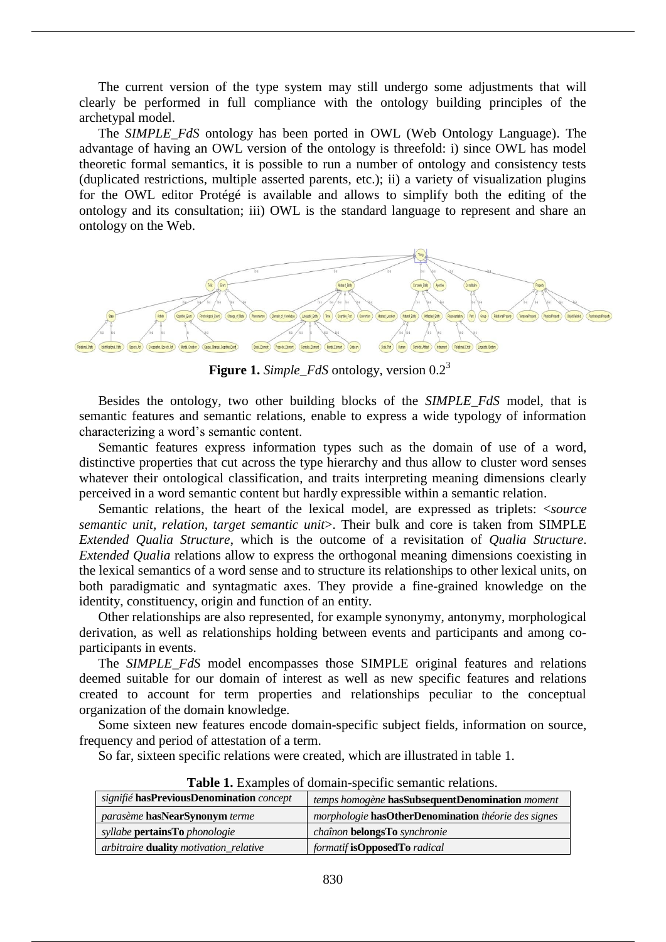The current version of the type system may still undergo some adjustments that will clearly be performed in full compliance with the ontology building principles of the archetypal model.

The *SIMPLE\_FdS* ontology has been ported in OWL (Web Ontology Language). The advantage of having an OWL version of the ontology is threefold: i) since OWL has model theoretic formal semantics, it is possible to run a number of ontology and consistency tests (duplicated restrictions, multiple asserted parents, etc.); ii) a variety of visualization plugins for the OWL editor Protégé is available and allows to simplify both the editing of the ontology and its consultation; iii) OWL is the standard language to represent and share an ontology on the Web.



**Figure 1.** *Simple FdS* ontology, version 0.2<sup>3</sup>

Besides the ontology, two other building blocks of the *SIMPLE\_FdS* model, that is semantic features and semantic relations, enable to express a wide typology of information characterizing a word's semantic content.

Semantic features express information types such as the domain of use of a word, distinctive properties that cut across the type hierarchy and thus allow to cluster word senses whatever their ontological classification, and traits interpreting meaning dimensions clearly perceived in a word semantic content but hardly expressible within a semantic relation.

Semantic relations, the heart of the lexical model, are expressed as triplets: <*source semantic unit, relation, target semantic unit*>. Their bulk and core is taken from SIMPLE *Extended Qualia Structure*, which is the outcome of a revisitation of *Qualia Structure*. *Extended Qualia* relations allow to express the orthogonal meaning dimensions coexisting in the lexical semantics of a word sense and to structure its relationships to other lexical units, on both paradigmatic and syntagmatic axes. They provide a fine-grained knowledge on the identity, constituency, origin and function of an entity.

Other relationships are also represented, for example synonymy, antonymy, morphological derivation, as well as relationships holding between events and participants and among coparticipants in events.

The *SIMPLE\_FdS* model encompasses those SIMPLE original features and relations deemed suitable for our domain of interest as well as new specific features and relations created to account for term properties and relationships peculiar to the conceptual organization of the domain knowledge.

Some sixteen new features encode domain-specific subject fields, information on source, frequency and period of attestation of a term.

So far, sixteen specific relations were created, which are illustrated in table 1.

| signifié hasPreviousDenomination concept           | temps homogène hasSubsequentDenomination moment                     |  |  |
|----------------------------------------------------|---------------------------------------------------------------------|--|--|
| <i>parasème</i> has Near Synonym terme             | <i>morphologie</i> has Other Denomination <i>théorie des signes</i> |  |  |
| <i>syllabe</i> <b>pertainsTo</b> <i>phonologie</i> | chaînon belongsTo synchronie                                        |  |  |
| arbitraire <b>duality</b> motivation_relative      | formatif isOpposedTo radical                                        |  |  |

**Table 1.** Examples of domain-specific semantic relations.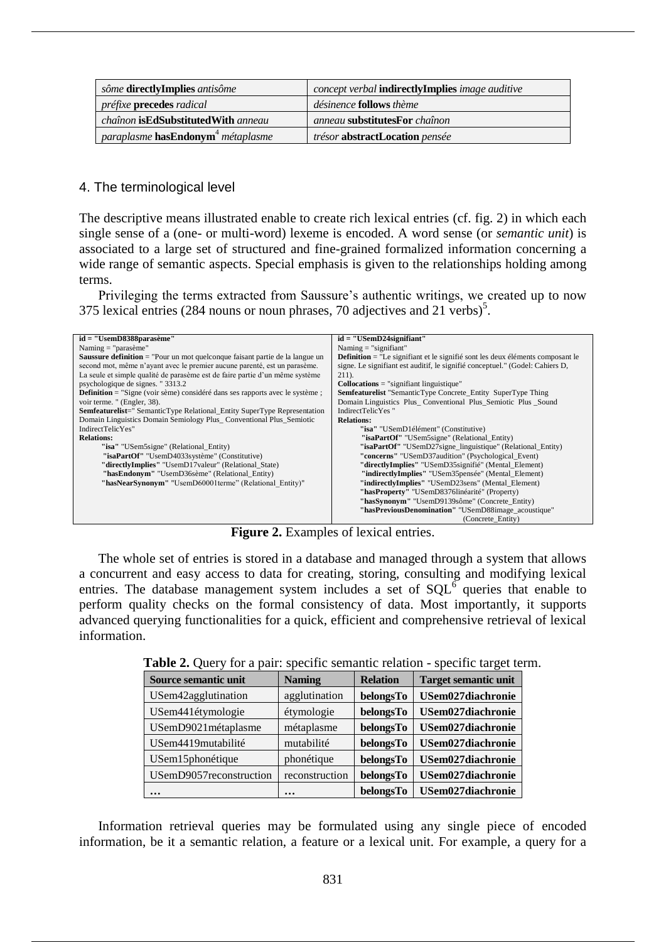| sôme <b>directlyImplies</b> antisôme              | <i>concept verbal</i> <b>indirectlyImplies</b> <i>image auditive</i> |
|---------------------------------------------------|----------------------------------------------------------------------|
| <i>préfixe</i> <b>precedes</b> radical            | <i>désinence</i> <b>follows</b> thème                                |
| <i>chaînon</i> is <b>EdSubstitutedWith</b> anneau | anneau substitutesFor chaînon                                        |
| paraplasme hasEndonym <sup>4</sup> métaplasme     | <i>trésor</i> abstractLocation <i>pensée</i>                         |

#### 4. The terminological level

The descriptive means illustrated enable to create rich lexical entries (cf. fig. 2) in which each single sense of a (one- or multi-word) lexeme is encoded. A word sense (or *semantic unit*) is associated to a large set of structured and fine-grained formalized information concerning a wide range of semantic aspects. Special emphasis is given to the relationships holding among terms.

Privileging the terms extracted from Saussure's authentic writings, we created up to now 375 lexical entries (284 nouns or noun phrases, 70 adjectives and 21 verbs)<sup>5</sup>.

| $id = "UsemD8388parasème"$                                                           | $id = "USemD24 significant"$                                                          |  |  |
|--------------------------------------------------------------------------------------|---------------------------------------------------------------------------------------|--|--|
| Naming $=$ "parasème"                                                                | Naming $=$ "signifiant"                                                               |  |  |
|                                                                                      |                                                                                       |  |  |
| <b>Saussure definition</b> = "Pour un mot quelconque faisant partie de la langue un  | <b>Definition</b> = "Le signifiant et le signifié sont les deux éléments composant le |  |  |
| second mot, même n'ayant avec le premier aucune parenté, est un parasème.            | signe. Le signifiant est auditif, le signifié conceptuel." (Godel: Cahiers D,         |  |  |
| La seule et simple qualité de parasème est de faire partie d'un même système         | $211$ .                                                                               |  |  |
| psychologique de signes. "3313.2"                                                    | $Collocations = "significant linguistic"$                                             |  |  |
| <b>Definition</b> = "Signe (voir sème) considéré dans ses rapports avec le système ; | <b>Semfeaturelist</b> "SemanticType Concrete_Entity SuperType Thing                   |  |  |
| voir terme. " (Engler, 38).                                                          | Domain Linguistics Plus Conventional Plus Semiotic Plus Sound                         |  |  |
| <b>Semfeaturelist</b> =" SemanticType Relational_Entity SuperType Representation     | IndirectTelicYes "                                                                    |  |  |
| Domain Linguistics Domain Semiology Plus Conventional Plus Semiotic                  | <b>Relations:</b>                                                                     |  |  |
| IndirectTelicYes"                                                                    | "isa" "USemD1élément" (Constitutive)                                                  |  |  |
| <b>Relations:</b>                                                                    | "isaPartOf" "USem5signe" (Relational Entity)                                          |  |  |
| "isa" "USem5signe" (Relational Entity)                                               | "isaPartOf" "USemD27signe_linguistique" (Relational_Entity)                           |  |  |
| "isaPartOf" "UsemD4033système" (Constitutive)                                        | "concerns" "USemD37audition" (Psychological Event)                                    |  |  |
| "directlyImplies" "UsemD17valeur" (Relational_State)                                 | "directlyImplies" "USemD35signifié" (Mental_Element)                                  |  |  |
| "hasEndonym" "UsemD36sème" (Relational Entity)                                       | "indirectlyImplies" "USem35pensée" (Mental Element)                                   |  |  |
| "hasNearSynonym" "UsemD60001terme" (Relational Entity)"                              | "indirectlyImplies" "USemD23sens" (Mental Element)                                    |  |  |
|                                                                                      | "hasProperty" "USemD8376linéarité" (Property)                                         |  |  |
|                                                                                      | "hasSynonym" "UsemD9139sôme" (Concrete_Entity)                                        |  |  |
|                                                                                      | "hasPreviousDenomination" "USemD88image acoustique"                                   |  |  |
|                                                                                      | (Concrete Entity)                                                                     |  |  |

**Figure 2.** Examples of lexical entries.

The whole set of entries is stored in a database and managed through a system that allows a concurrent and easy access to data for creating, storing, consulting and modifying lexical entries. The database management system includes a set of  $SQL^6$  queries that enable to perform quality checks on the formal consistency of data. Most importantly, it supports advanced querying functionalities for a quick, efficient and comprehensive retrieval of lexical information.

| Source semantic unit    | <b>Naming</b>  | <b>Relation</b> | <b>Target semantic unit</b> |
|-------------------------|----------------|-----------------|-----------------------------|
| USem42agglutination     | agglutination  | belongsTo       | USem027diachronie           |
| USem441étymologie       | étymologie     | belongsTo       | USem027diachronie           |
| USemD9021métaplasme     | métaplasme     | belongsTo       | USem027diachronie           |
| USem4419mutabilité      | mutabilité     | belongsTo       | USem027diachronie           |
| USem15phonétique        | phonétique     | belongsTo       | USem027diachronie           |
| USemD9057reconstruction | reconstruction | belongsTo       | USem027diachronie           |
| $\ddotsc$               | $\ddotsc$      | belongsTo       | <b>USem027diachronie</b>    |

**Table 2.** Query for a pair: specific semantic relation - specific target term.

Information retrieval queries may be formulated using any single piece of encoded information, be it a semantic relation, a feature or a lexical unit. For example, a query for a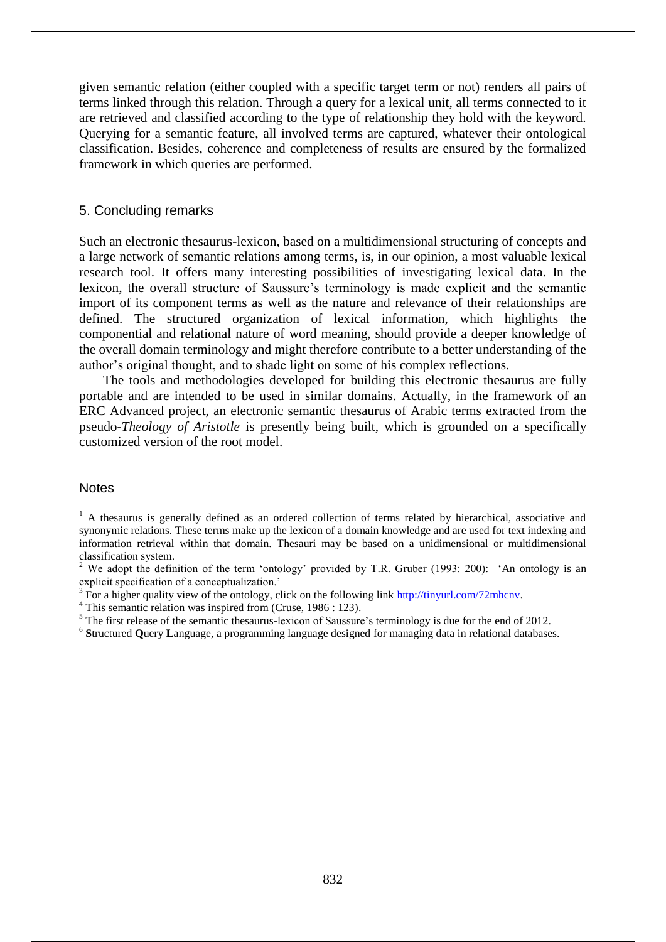given semantic relation (either coupled with a specific target term or not) renders all pairs of terms linked through this relation. Through a query for a lexical unit, all terms connected to it are retrieved and classified according to the type of relationship they hold with the keyword. Querying for a semantic feature, all involved terms are captured, whatever their ontological classification. Besides, coherence and completeness of results are ensured by the formalized framework in which queries are performed.

#### 5. Concluding remarks

Such an electronic thesaurus-lexicon, based on a multidimensional structuring of concepts and a large network of semantic relations among terms, is, in our opinion, a most valuable lexical research tool. It offers many interesting possibilities of investigating lexical data. In the lexicon, the overall structure of Saussure's terminology is made explicit and the semantic import of its component terms as well as the nature and relevance of their relationships are defined. The structured organization of lexical information, which highlights the componential and relational nature of word meaning, should provide a deeper knowledge of the overall domain terminology and might therefore contribute to a better understanding of the author's original thought, and to shade light on some of his complex reflections.

The tools and methodologies developed for building this electronic thesaurus are fully portable and are intended to be used in similar domains. Actually, in the framework of an ERC Advanced project, an electronic semantic thesaurus of Arabic terms extracted from the pseudo-*Theology of Aristotle* is presently being built, which is grounded on a specifically customized version of the root model.

#### **Notes**

<sup>1</sup> A thesaurus is generally defined as an ordered collection of terms related by hierarchical, associative and synonymic relations. These terms make up the lexicon of a domain knowledge and are used for text indexing and information retrieval within that domain. Thesauri may be based on a unidimensional or multidimensional classification system.

<sup>2</sup> We adopt the definition of the term 'ontology' provided by T.R. Gruber (1993: 200): 'An ontology is an explicit specification of a conceptualization.'

 $3 \text{ For a higher quality view of the ontology, click on the following link <http://tinyurl.com/72mhenv>.$ 

<sup>4</sup> This semantic relation was inspired from (Cruse, 1986 : 123).

<sup>5</sup> The first release of the semantic thesaurus-lexicon of Saussure's terminology is due for the end of 2012.

<sup>6</sup> Structured Query Language, a programming language designed for managing data in relational databases.